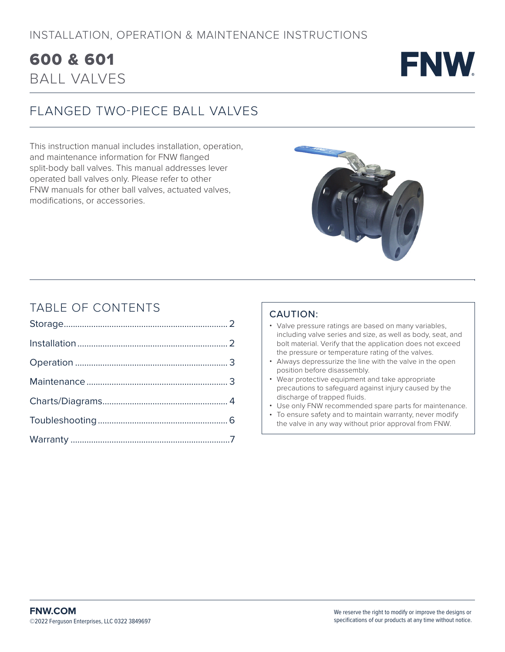## BALL VALVES 600 & 601



## FLANGED TWO-PIECE BALL VALVES

This instruction manual includes installation, operation, and maintenance information for FNW flanged split-body ball valves. This manual addresses lever operated ball valves only. Please refer to other FNW manuals for other ball valves, actuated valves, modifications, or accessories.



## TABLE OF CONTENTS

### CAUTION:

- Valve pressure ratings are based on many variables, including valve series and size, as well as body, seat, and bolt material. Verify that the application does not exceed the pressure or temperature rating of the valves.
- Always depressurize the line with the valve in the open position before disassembly.
- Wear protective equipment and take appropriate precautions to safeguard against injury caused by the discharge of trapped fluids.
- Use only FNW recommended spare parts for maintenance.
- To ensure safety and to maintain warranty, never modify the valve in any way without prior approval from FNW.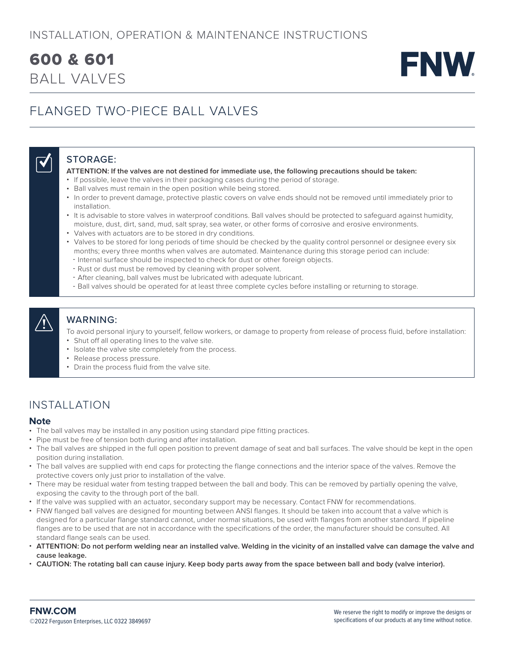## INSTALLATION, OPERATION & MAINTENANCE INSTRUCTIONS

## BALL VALVES 600 & 601



## FLANGED TWO-PIECE BALL VALVES

## STORAGE:

#### **ATTENTION: If the valves are not destined for immediate use, the following precautions should be taken:**

- If possible, leave the valves in their packaging cases during the period of storage.
- Ball valves must remain in the open position while being stored.
- In order to prevent damage, protective plastic covers on valve ends should not be removed until immediately prior to installation.
- It is advisable to store valves in waterproof conditions. Ball valves should be protected to safeguard against humidity, moisture, dust, dirt, sand, mud, salt spray, sea water, or other forms of corrosive and erosive environments.
- Valves with actuators are to be stored in dry conditions.
- Valves to be stored for long periods of time should be checked by the quality control personnel or designee every six months; every three months when valves are automated. Maintenance during this storage period can include:
- Internal surface should be inspected to check for dust or other foreign objects.
- Rust or dust must be removed by cleaning with proper solvent.
- After cleaning, ball valves must be lubricated with adequate lubricant.
- Ball valves should be operated for at least three complete cycles before installing or returning to storage.

 $\overline{\blacklozenge}$ 

WARNING:

To avoid personal injury to yourself, fellow workers, or damage to property from release of process fluid, before installation:

- Shut off all operating lines to the valve site.
- Isolate the valve site completely from the process.
- Release process pressure.
- Drain the process fluid from the valve site.

## INSTALLATION

### **Note**

- The ball valves may be installed in any position using standard pipe fitting practices.
- Pipe must be free of tension both during and after installation.
- The ball valves are shipped in the full open position to prevent damage of seat and ball surfaces. The valve should be kept in the open position during installation.
- The ball valves are supplied with end caps for protecting the flange connections and the interior space of the valves. Remove the protective covers only just prior to installation of the valve.
- There may be residual water from testing trapped between the ball and body. This can be removed by partially opening the valve, exposing the cavity to the through port of the ball.
- If the valve was supplied with an actuator, secondary support may be necessary. Contact FNW for recommendations.
- FNW flanged ball valves are designed for mounting between ANSI flanges. It should be taken into account that a valve which is designed for a particular flange standard cannot, under normal situations, be used with flanges from another standard. If pipeline flanges are to be used that are not in accordance with the specifications of the order, the manufacturer should be consulted. All standard flange seals can be used.
- **ATTENTION: Do not perform welding near an installed valve. Welding in the vicinity of an installed valve can damage the valve and cause leakage.**
- **CAUTION: The rotating ball can cause injury. Keep body parts away from the space between ball and body (valve interior).**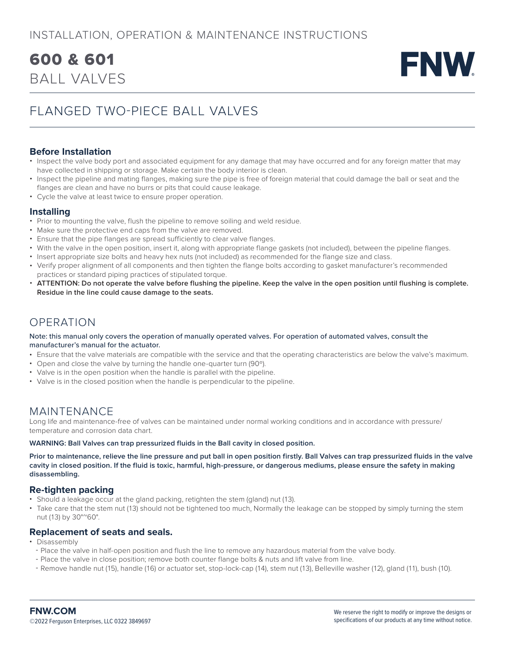## BALL VALVES 600 & 601



## FLANGED TWO-PIECE BALL VALVES

### **Before Installation**

- Inspect the valve body port and associated equipment for any damage that may have occurred and for any foreign matter that may have collected in shipping or storage. Make certain the body interior is clean.
- Inspect the pipeline and mating flanges, making sure the pipe is free of foreign material that could damage the ball or seat and the flanges are clean and have no burrs or pits that could cause leakage.
- Cycle the valve at least twice to ensure proper operation.

### **Installing**

- Prior to mounting the valve, flush the pipeline to remove soiling and weld residue.
- Make sure the protective end caps from the valve are removed.
- Ensure that the pipe flanges are spread sufficiently to clear valve flanges.
- With the valve in the open position, insert it, along with appropriate flange gaskets (not included), between the pipeline flanges.
- Insert appropriate size bolts and heavy hex nuts (not included) as recommended for the flange size and class.
- Verify proper alignment of all components and then tighten the flange bolts according to gasket manufacturer's recommended practices or standard piping practices of stipulated torque.
- **ATTENTION: Do not operate the valve before flushing the pipeline. Keep the valve in the open position until flushing is complete. Residue in the line could cause damage to the seats.**

## OPERATION

#### Note: this manual only covers the operation of manually operated valves. For operation of automated valves, consult the manufacturer's manual for the actuator.

- Ensure that the valve materials are compatible with the service and that the operating characteristics are below the valve's maximum.
- Open and close the valve by turning the handle one-quarter turn (90º).
- Valve is in the open position when the handle is parallel with the pipeline.
- Valve is in the closed position when the handle is perpendicular to the pipeline.

## MAINTENANCE

Long life and maintenance-free of valves can be maintained under normal working conditions and in accordance with pressure/ temperature and corrosion data chart.

#### **WARNING: Ball Valves can trap pressurized fluids in the Ball cavity in closed position.**

**Prior to maintenance, relieve the line pressure and put ball in open position firstly. Ball Valves can trap pressurized fluids in the valve cavity in closed position. If the fluid is toxic, harmful, high-pressure, or dangerous mediums, please ensure the safety in making disassembling.**

### **Re-tighten packing**

- Should a leakage occur at the gland packing, retighten the stem (gland) nut (13).
- Take care that the stem nut (13) should not be tightened too much, Normally the leakage can be stopped by simply turning the stem nut (13) by 30°~60°.

### **Replacement of seats and seals.**

- Disassembly
- Place the valve in half-open position and flush the line to remove any hazardous material from the valve body.
- Place the valve in close position; remove both counter flange bolts & nuts and lift valve from line.
- Remove handle nut (15), handle (16) or actuator set, stop-lock-cap (14), stem nut (13), Belleville washer (12), gland (11), bush (10).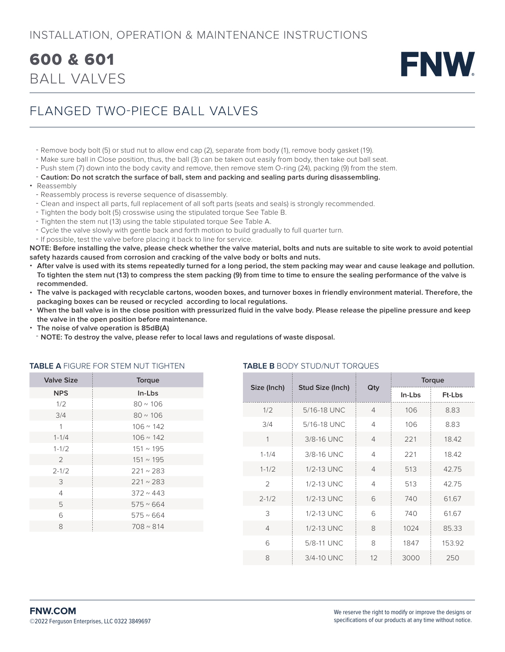## INSTALLATION, OPERATION & MAINTENANCE INSTRUCTIONS

## BALL VALVES 600 & 601



## FLANGED TWO-PIECE BALL VALVES

- Remove body bolt (5) or stud nut to allow end cap (2), separate from body (1), remove body gasket (19).
- Make sure ball in Close position, thus, the ball (3) can be taken out easily from body, then take out ball seat.
- Push stem (7) down into the body cavity and remove, then remove stem O-ring (24), packing (9) from the stem.
- **Caution: Do not scratch the surface of ball, stem and packing and sealing parts during disassembling.**
- Reassembly
	- Reassembly process is reverse sequence of disassembly.
	- Clean and inspect all parts, full replacement of all soft parts (seats and seals) is strongly recommended.
	- Tighten the body bolt (5) crosswise using the stipulated torque See Table B.
	- Tighten the stem nut (13) using the table stipulated torque See Table A.
	- Cycle the valve slowly with gentle back and forth motion to build gradually to full quarter turn.
	- If possible, test the valve before placing it back to line for service.

**NOTE: Before installing the valve, please check whether the valve material, bolts and nuts are suitable to site work to avoid potential safety hazards caused from corrosion and cracking of the valve body or bolts and nuts.**

- **After valve is used with its stems repeatedly turned for a long period, the stem packing may wear and cause leakage and pollution. To tighten the stem nut (13) to compress the stem packing (9) from time to time to ensure the sealing performance of the valve is recommended.**
- **The valve is packaged with recyclable cartons, wooden boxes, and turnover boxes in friendly environment material. Therefore, the packaging boxes can be reused or recycled according to local regulations.**
- **When the ball valve is in the close position with pressurized fluid in the valve body. Please release the pipeline pressure and keep the valve in the open position before maintenance.**

**TABLE B** BODY STUD/NUT TORQUES

- **The noise of valve operation is 85dB(A)**
- **NOTE: To destroy the valve, please refer to local laws and regulations of waste disposal.**

| <b>Valve Size</b> | Torque           |  |  |
|-------------------|------------------|--|--|
| <b>NPS</b>        | In-Lbs           |  |  |
| 1/2               | $80 \sim 106$    |  |  |
| 3/4               | $80 \sim 106$    |  |  |
| 1                 | $106 \sim 142$   |  |  |
| $1 - 1/4$         | $106 \sim 142$   |  |  |
| $1 - 1/2$         | 151 ~ 195        |  |  |
| 2                 | 151 ~ 195        |  |  |
| $2 - 1/2$         | $221 \sim 283$   |  |  |
| 3                 | $221 \sim 283$   |  |  |
| 4                 | $372 \times 443$ |  |  |
| 5                 | $575 \sim 664$   |  |  |
| 6                 | $575 \sim 664$   |  |  |
| 8                 | $708 \sim 814$   |  |  |
|                   |                  |  |  |

#### **TABLE A** FIGURE FOR STEM NUT TIGHTEN

|                | Stud Size (Inch) | Qty            | Torque |        |
|----------------|------------------|----------------|--------|--------|
| Size (Inch)    |                  |                | In-Lbs | Ft-Lbs |
| 1/2            | 5/16-18 UNC      | $\overline{4}$ | 106    | 8.83   |
| 3/4            | 5/16-18 UNC      | 4              | 106    | 8.83   |
| 1              | 3/8-16 UNC       | $\overline{4}$ | 221    | 18.42  |
| $1 - 1/4$      | 3/8-16 UNC       | 4              | 221    | 18.42  |
| $1 - 1/2$      | 1/2-13 UNC       | $\overline{4}$ | 513    | 42.75  |
| $\mathfrak{D}$ | 1/2-13 UNC       | $\overline{4}$ | 513    | 42.75  |
| $2 - 1/2$      | 1/2-13 UNC       | 6              | 740    | 61.67  |
| 3              | $1/2-13$ UNC     | 6              | 740    | 61.67  |
| $\overline{4}$ | 1/2-13 UNC       | 8              | 1024   | 85.33  |
| 6              | 5/8-11 UNC       | 8              | 1847   | 153.92 |
| 8              | 3/4-10 UNC       | 12             | 3000   | 250    |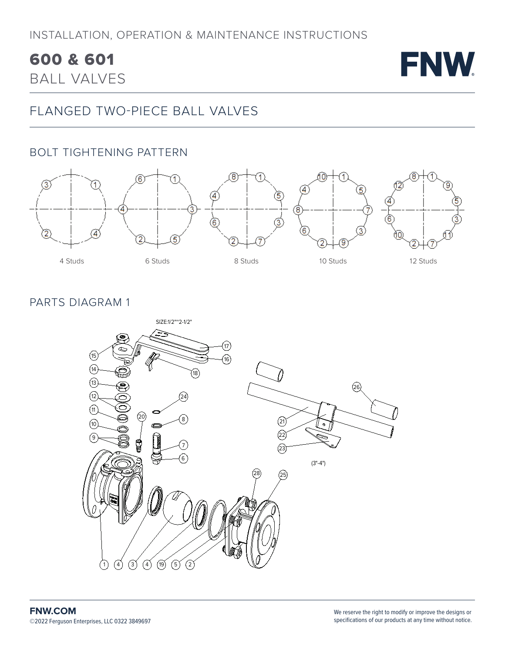# 600 & 601

**FNW** 

BALL VALVES

## FLANGED TWO-PIECE BALL VALVES

## BOLT TIGHTENING PATTERN



## PARTS DIAGRAM 1

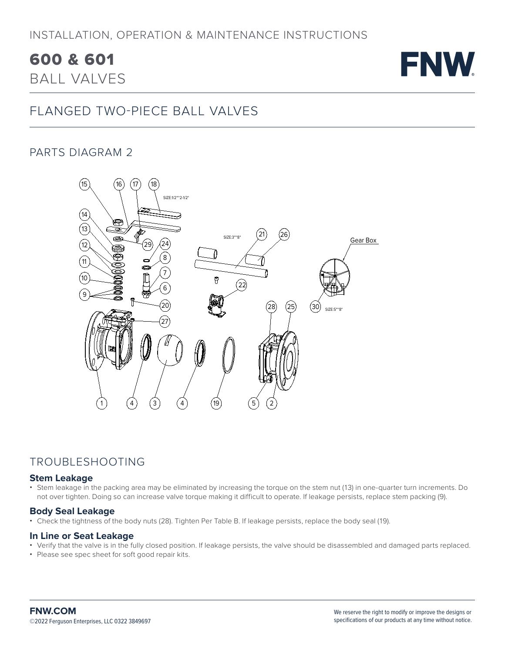## INSTALLATION, OPERATION & MAINTENANCE INSTRUCTIONS

# 600 & 601



BALL VALVES

## FLANGED TWO-PIECE BALL VALVES

## PARTS DIAGRAM 2



## TROUBLESHOOTING

### **Stem Leakage**

• Stem leakage in the packing area may be eliminated by increasing the torque on the stem nut (13) in one-quarter turn increments. Do not over tighten. Doing so can increase valve torque making it difficult to operate. If leakage persists, replace stem packing (9).

### **Body Seal Leakage**

• Check the tightness of the body nuts (28). Tighten Per Table B. If leakage persists, replace the body seal (19).

### **In Line or Seat Leakage**

- Verify that the valve is in the fully closed position. If leakage persists, the valve should be disassembled and damaged parts replaced.
- Please see spec sheet for soft good repair kits.